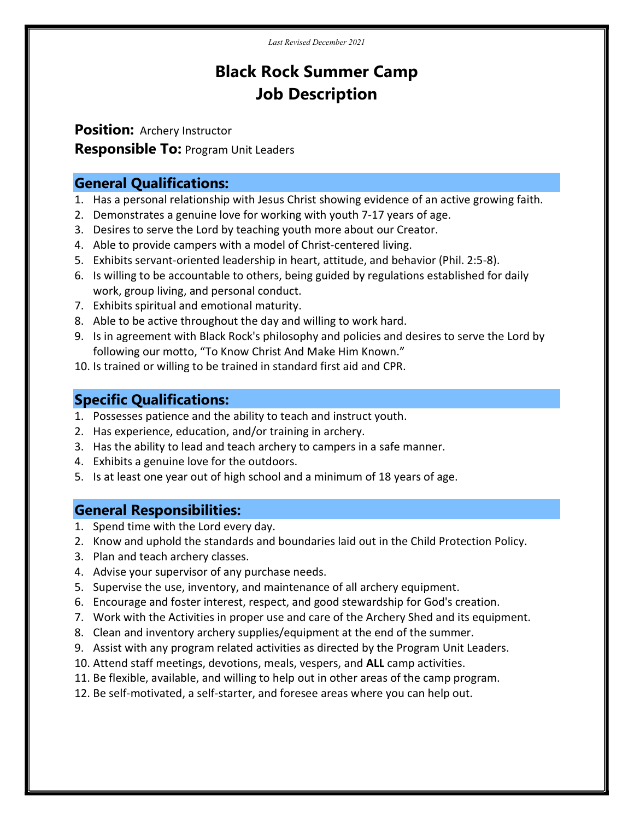# Black Rock Summer Camp Job Description

Position: Archery Instructor **Responsible To: Program Unit Leaders** 

#### General Qualifications:

- 1. Has a personal relationship with Jesus Christ showing evidence of an active growing faith.
- 2. Demonstrates a genuine love for working with youth 7-17 years of age.
- 3. Desires to serve the Lord by teaching youth more about our Creator.
- 4. Able to provide campers with a model of Christ-centered living.
- 5. Exhibits servant-oriented leadership in heart, attitude, and behavior (Phil. 2:5-8).
- 6. Is willing to be accountable to others, being guided by regulations established for daily work, group living, and personal conduct.
- 7. Exhibits spiritual and emotional maturity.
- 8. Able to be active throughout the day and willing to work hard.
- 9. Is in agreement with Black Rock's philosophy and policies and desires to serve the Lord by following our motto, "To Know Christ And Make Him Known."
- 10. Is trained or willing to be trained in standard first aid and CPR.

## Specific Qualifications:

- 1. Possesses patience and the ability to teach and instruct youth.
- 2. Has experience, education, and/or training in archery.
- 3. Has the ability to lead and teach archery to campers in a safe manner.
- 4. Exhibits a genuine love for the outdoors.
- 5. Is at least one year out of high school and a minimum of 18 years of age.

#### General Responsibilities:

- 1. Spend time with the Lord every day.
- 2. Know and uphold the standards and boundaries laid out in the Child Protection Policy.
- 3. Plan and teach archery classes.
- 4. Advise your supervisor of any purchase needs.
- 5. Supervise the use, inventory, and maintenance of all archery equipment.
- 6. Encourage and foster interest, respect, and good stewardship for God's creation.
- 7. Work with the Activities in proper use and care of the Archery Shed and its equipment.
- 8. Clean and inventory archery supplies/equipment at the end of the summer.
- 9. Assist with any program related activities as directed by the Program Unit Leaders.
- 10. Attend staff meetings, devotions, meals, vespers, and ALL camp activities.
- 11. Be flexible, available, and willing to help out in other areas of the camp program.
- 12. Be self-motivated, a self-starter, and foresee areas where you can help out.